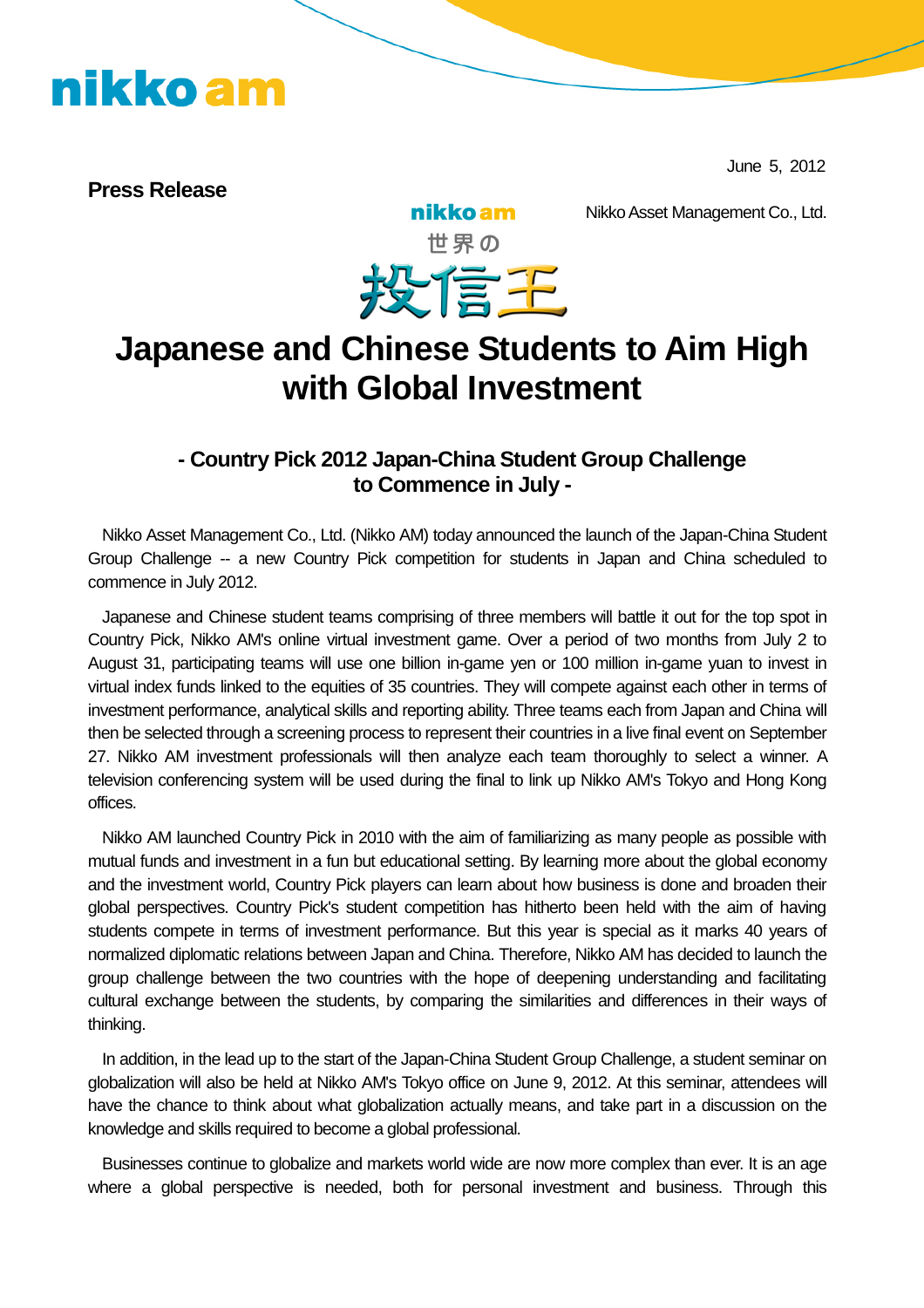June 5, 2012

**Press Release**

Nikko Asset Management Co., Ltd.



nikko am

### **Japanese and Chinese Students to Aim High with Global Investment**

### **- Country Pick 2012 Japan-China Student Group Challenge to Commence in July -**

Nikko Asset Management Co., Ltd. (Nikko AM) today announced the launch of the Japan-China Student Group Challenge -- a new Country Pick competition for students in Japan and China scheduled to commence in July 2012.

Japanese and Chinese student teams comprising of three members will battle it out for the top spot in Country Pick, Nikko AM's online virtual investment game. Over a period of two months from July 2 to August 31, participating teams will use one billion in-game yen or 100 million in-game yuan to invest in virtual index funds linked to the equities of 35 countries. They will compete against each other in terms of investment performance, analytical skills and reporting ability. Three teams each from Japan and China will then be selected through a screening process to represent their countries in a live final event on September 27. Nikko AM investment professionals will then analyze each team thoroughly to select a winner. A television conferencing system will be used during the final to link up Nikko AM's Tokyo and Hong Kong offices.

Nikko AM launched Country Pick in 2010 with the aim of familiarizing as many people as possible with mutual funds and investment in a fun but educational setting. By learning more about the global economy and the investment world, Country Pick players can learn about how business is done and broaden their global perspectives. Country Pick's student competition has hitherto been held with the aim of having students compete in terms of investment performance. But this year is special as it marks 40 years of normalized diplomatic relations between Japan and China. Therefore, Nikko AM has decided to launch the group challenge between the two countries with the hope of deepening understanding and facilitating cultural exchange between the students, by comparing the similarities and differences in their ways of thinking.

In addition, in the lead up to the start of the Japan-China Student Group Challenge, a student seminar on globalization will also be held at Nikko AM's Tokyo office on June 9, 2012. At this seminar, attendees will have the chance to think about what globalization actually means, and take part in a discussion on the knowledge and skills required to become a global professional.

Businesses continue to globalize and markets world wide are now more complex than ever. It is an age where a global perspective is needed, both for personal investment and business. Through this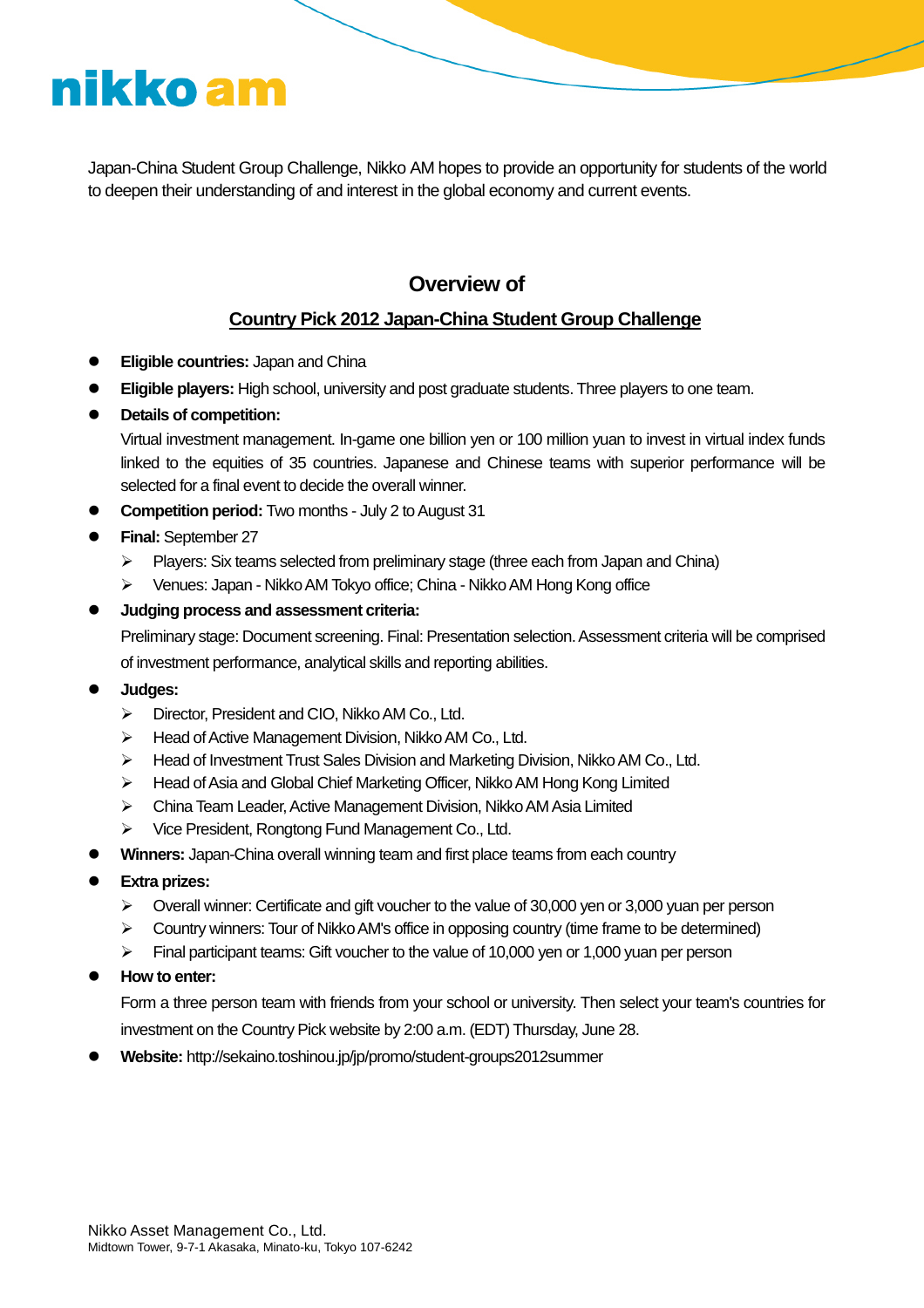Japan-China Student Group Challenge, Nikko AM hopes to provide an opportunity for students of the world to deepen their understanding of and interest in the global economy and current events.

### **Overview of**

#### **Country Pick 2012 Japan-China Student Group Challenge**

- **Eligible countries:** Japan and China
- **Eligible players:** High school, university and post graduate students. Three players to one team.
- **Details of competition:**

Virtual investment management. In-game one billion yen or 100 million yuan to invest in virtual index funds linked to the equities of 35 countries. Japanese and Chinese teams with superior performance will be selected for a final event to decide the overall winner.

- **Competition period:** Two months July 2 to August 31
- **Final:** September 27
	- $\triangleright$  Players: Six teams selected from preliminary stage (three each from Japan and China)
	- Venues: Japan NikkoAM Tokyo office; China NikkoAM Hong Kong office

#### **Judging process and assessment criteria:**

Preliminary stage: Document screening. Final: Presentation selection. Assessment criteria will be comprised of investment performance, analytical skills and reporting abilities.

- **Judges:**
	- Director, President and CIO, NikkoAM Co., Ltd.
	- $\triangleright$  Head of Active Management Division, Nikko AM Co., Ltd.
	- Head of Investment Trust Sales Division and Marketing Division, NikkoAM Co., Ltd.
	- Head of Asia and Global Chief Marketing Officer, NikkoAM Hong Kong Limited
	- $\triangleright$  China Team Leader, Active Management Division, Nikko AM Asia Limited
	- Vice President, Rongtong Fund Management Co., Ltd.
- **Winners:** Japan-China overall winning team and first place teams from each country
- **Extra prizes:**
	- $\triangleright$  Overall winner: Certificate and gift voucher to the value of 30,000 yen or 3,000 yuan per person
	- $\triangleright$  Country winners: Tour of Nikko AM's office in opposing country (time frame to be determined)
	- $\triangleright$  Final participant teams: Gift voucher to the value of 10,000 yen or 1,000 yuan per person

#### **How to enter:**

Form a three person team with friends from your school or university. Then select your team's countries for investment on the Country Pick website by 2:00 a.m. (EDT) Thursday, June 28.

**Website:** http://sekaino.toshinou.jp/jp/promo/student-groups2012summer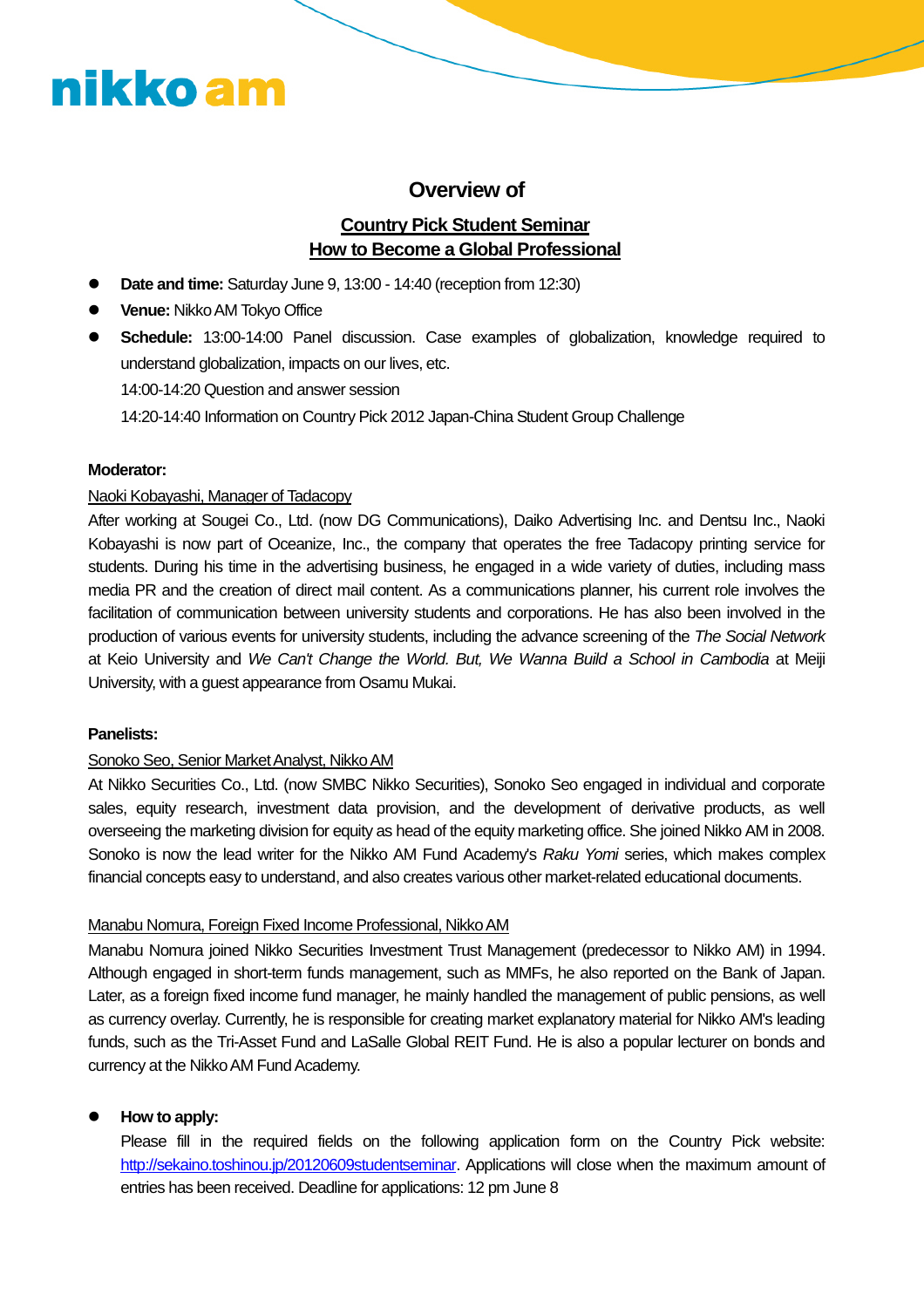#### **Overview of**

#### **Country Pick Student Seminar How to Become a Global Professional**

- **Date and time:** Saturday June 9, 13:00 14:40 (reception from 12:30)
- **Venue:** Nikko AM Tokyo Office
- **Schedule:** 13:00-14:00 Panel discussion. Case examples of globalization, knowledge required to understand globalization, impacts on our lives, etc. 14:00-14:20 Question and answer session

14:20-14:40 Information on Country Pick 2012 Japan-China Student Group Challenge

#### **Moderator:**

#### Naoki Kobayashi, Manager of Tadacopy

After working at Sougei Co., Ltd. (now DG Communications), Daiko Advertising Inc. and Dentsu Inc., Naoki Kobayashi is now part of Oceanize, Inc., the company that operates the free Tadacopy printing service for students. During his time in the advertising business, he engaged in a wide variety of duties, including mass media PR and the creation of direct mail content. As a communications planner, his current role involves the facilitation of communication between university students and corporations. He has also been involved in the production of various events for university students, including the advance screening of the *The Social Network* at Keio University and *We Can't Change the World. But, We Wanna Build a School in Cambodia* at Meiji University, with a guest appearance from Osamu Mukai.

#### **Panelists:**

#### Sonoko Seo, Senior Market Analyst, Nikko AM

At Nikko Securities Co., Ltd. (now SMBC Nikko Securities), Sonoko Seo engaged in individual and corporate sales, equity research, investment data provision, and the development of derivative products, as well overseeing the marketing division for equity as head of the equity marketing office. She joined Nikko AM in 2008. Sonoko is now the lead writer for the Nikko AM Fund Academy's *Raku Yomi* series, which makes complex financial concepts easy to understand, and also creates various other market-related educational documents.

#### Manabu Nomura, Foreign Fixed Income Professional, NikkoAM

Manabu Nomura joined Nikko Securities Investment Trust Management (predecessor to Nikko AM) in 1994. Although engaged in short-term funds management, such as MMFs, he also reported on the Bank of Japan. Later, as a foreign fixed income fund manager, he mainly handled the management of public pensions, as well as currency overlay. Currently, he is responsible for creating market explanatory material for Nikko AM's leading funds, such as the Tri-Asset Fund and LaSalle Global REIT Fund. He is also a popular lecturer on bonds and currency at the Nikko AM Fund Academy.

#### **How to apply:**

Please fill in the required fields on the following application form on the Country Pick website: http://sekaino.toshinou.jp/20120609studentseminar. Applications will close when the maximum amount of entries has been received. Deadline for applications: 12 pm June 8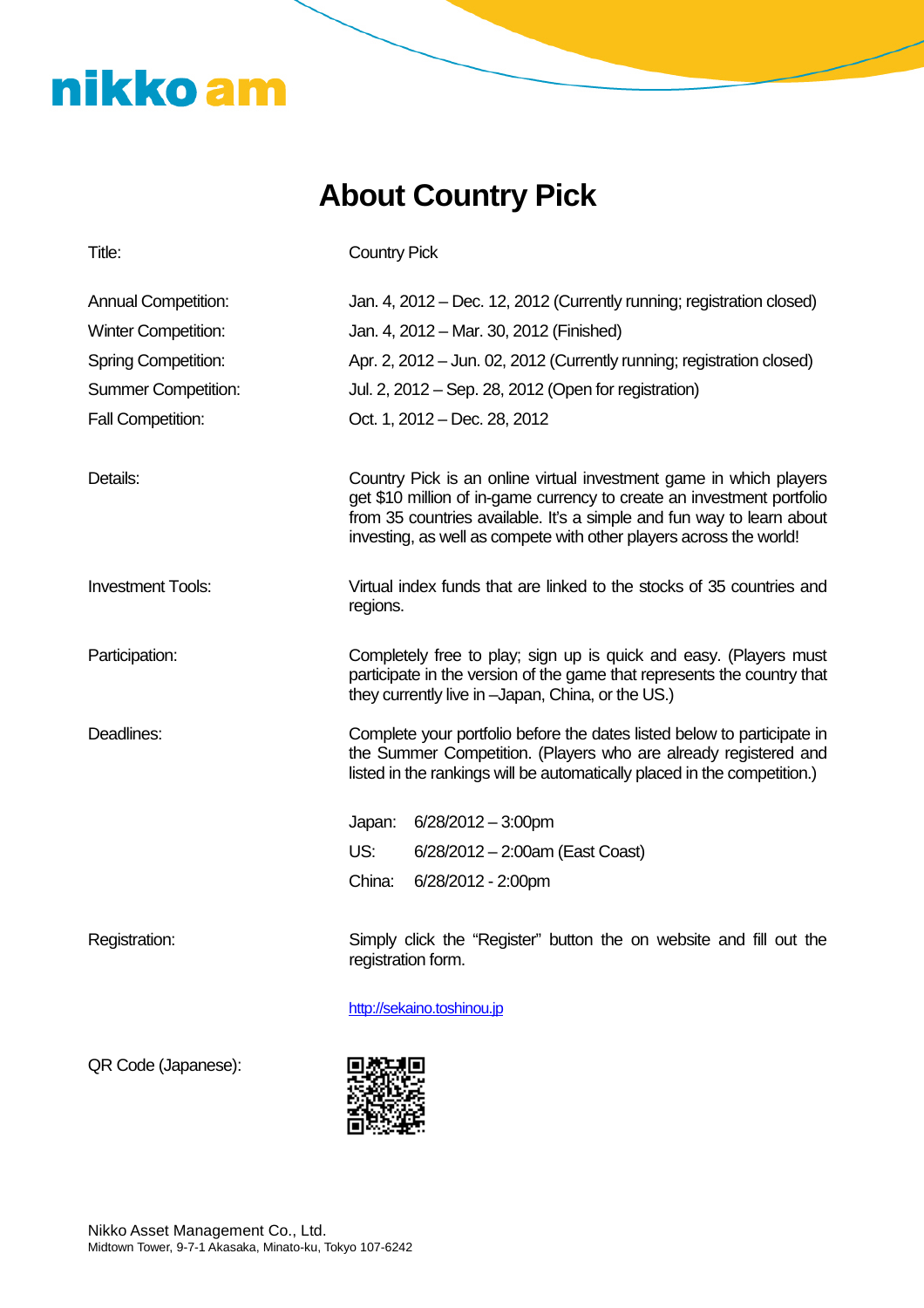### **About Country Pick**

| Title:                     | <b>Country Pick</b>                                                                                                                                                                                                                                                                         |
|----------------------------|---------------------------------------------------------------------------------------------------------------------------------------------------------------------------------------------------------------------------------------------------------------------------------------------|
| <b>Annual Competition:</b> | Jan. 4, 2012 – Dec. 12, 2012 (Currently running; registration closed)                                                                                                                                                                                                                       |
| <b>Winter Competition:</b> | Jan. 4, 2012 - Mar. 30, 2012 (Finished)                                                                                                                                                                                                                                                     |
| <b>Spring Competition:</b> | Apr. 2, 2012 – Jun. 02, 2012 (Currently running; registration closed)                                                                                                                                                                                                                       |
| <b>Summer Competition:</b> | Jul. 2, 2012 – Sep. 28, 2012 (Open for registration)                                                                                                                                                                                                                                        |
| <b>Fall Competition:</b>   | Oct. 1, 2012 – Dec. 28, 2012                                                                                                                                                                                                                                                                |
| Details:                   | Country Pick is an online virtual investment game in which players<br>get \$10 million of in-game currency to create an investment portfolio<br>from 35 countries available. It's a simple and fun way to learn about<br>investing, as well as compete with other players across the world! |
| <b>Investment Tools:</b>   | Virtual index funds that are linked to the stocks of 35 countries and<br>regions.                                                                                                                                                                                                           |
| Participation:             | Completely free to play; sign up is quick and easy. (Players must<br>participate in the version of the game that represents the country that<br>they currently live in -Japan, China, or the US.)                                                                                           |
| Deadlines:                 | Complete your portfolio before the dates listed below to participate in<br>the Summer Competition. (Players who are already registered and<br>listed in the rankings will be automatically placed in the competition.)                                                                      |
|                            | Japan: 6/28/2012 - 3:00pm                                                                                                                                                                                                                                                                   |
|                            | US:<br>$6/28/2012 - 2:00am$ (East Coast)                                                                                                                                                                                                                                                    |
|                            | China:<br>6/28/2012 - 2:00pm                                                                                                                                                                                                                                                                |
| Registration:              | Simply click the "Register" button the on website and fill out the<br>registration form.                                                                                                                                                                                                    |

http://sekaino.toshinou.jp

QR Code (Japanese):

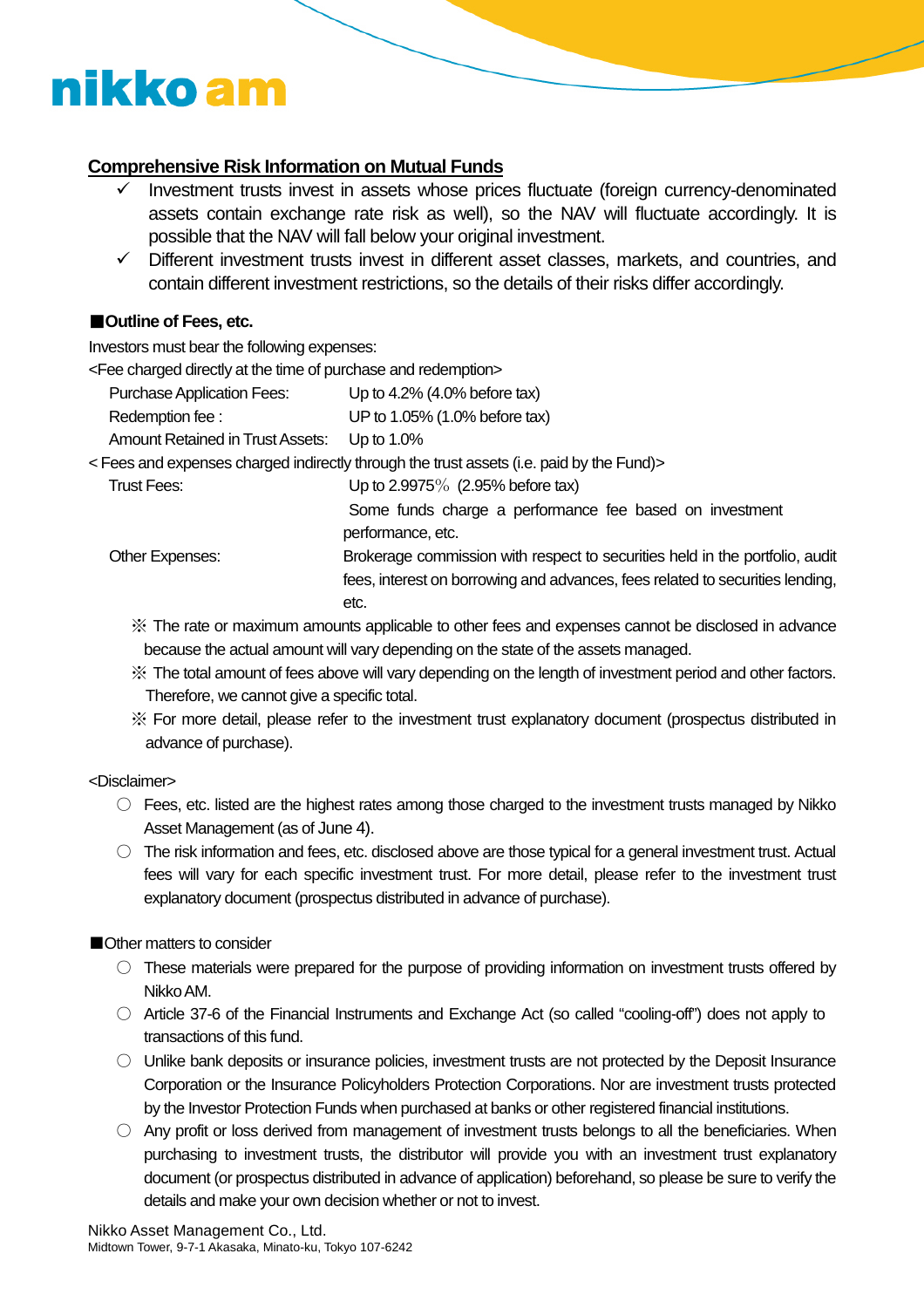#### **Comprehensive Risk Information on Mutual Funds**

- Investment trusts invest in assets whose prices fluctuate (foreign currency-denominated assets contain exchange rate risk as well), so the NAV will fluctuate accordingly. It is possible that the NAV will fall below your original investment.
- $\checkmark$  Different investment trusts invest in different asset classes, markets, and countries, and contain different investment restrictions, so the details of their risks differ accordingly.

#### ■**Outline of Fees, etc.**

Investors must bear the following expenses:

<Fee charged directly at the time of purchase and redemption>

| <b>Purchase Application Fees:</b>       | Up to $4.2\%$ (4.0% before tax) |
|-----------------------------------------|---------------------------------|
| Redemption fee:                         | UP to 1.05% (1.0% before tax)   |
| <b>Amount Retained in Trust Assets:</b> | Up to $1.0\%$                   |

< Fees and expenses charged indirectly through the trust assets (i.e. paid by the Fund)>

Trust Fees: Up to 2.9975% (2.95% before tax)

performance, etc. Other Expenses: Brokerage commission with respect to securities held in the portfolio, audit

Some funds charge a performance fee based on investment

fees, interest on borrowing and advances, fees related to securities lending, etc.

※ The rate or maximum amounts applicable to other fees and expenses cannot be disclosed in advance because the actual amount will vary depending on the state of the assets managed.

- ※ The total amount of fees above will vary depending on the length of investment period and other factors. Therefore, we cannot give a specific total.
- ※ For more detail, please refer to the investment trust explanatory document (prospectus distributed in advance of purchase).

#### <Disclaimer>

- $\circ$  Fees, etc. listed are the highest rates among those charged to the investment trusts managed by Nikko Asset Management (as of June 4).
- The risk information and fees, etc. disclosed above are those typical for a general investment trust. Actual fees will vary for each specific investment trust. For more detail, please refer to the investment trust explanatory document (prospectus distributed in advance of purchase).

#### ■Other matters to consider

- $\circ$  These materials were prepared for the purpose of providing information on investment trusts offered by NikkoAM.
- Article 37-6 of the Financial Instruments and Exchange Act (so called "cooling-off") does not apply to transactions of this fund.
- Unlike bank deposits or insurance policies, investment trusts are not protected by the Deposit Insurance Corporation or the Insurance Policyholders Protection Corporations. Nor are investment trusts protected by the Investor Protection Funds when purchased at banks or other registered financial institutions.
- $\circ$  Any profit or loss derived from management of investment trusts belongs to all the beneficiaries. When purchasing to investment trusts, the distributor will provide you with an investment trust explanatory document (or prospectus distributed in advance of application) beforehand, so please be sure to verify the details and make your own decision whether or not to invest.